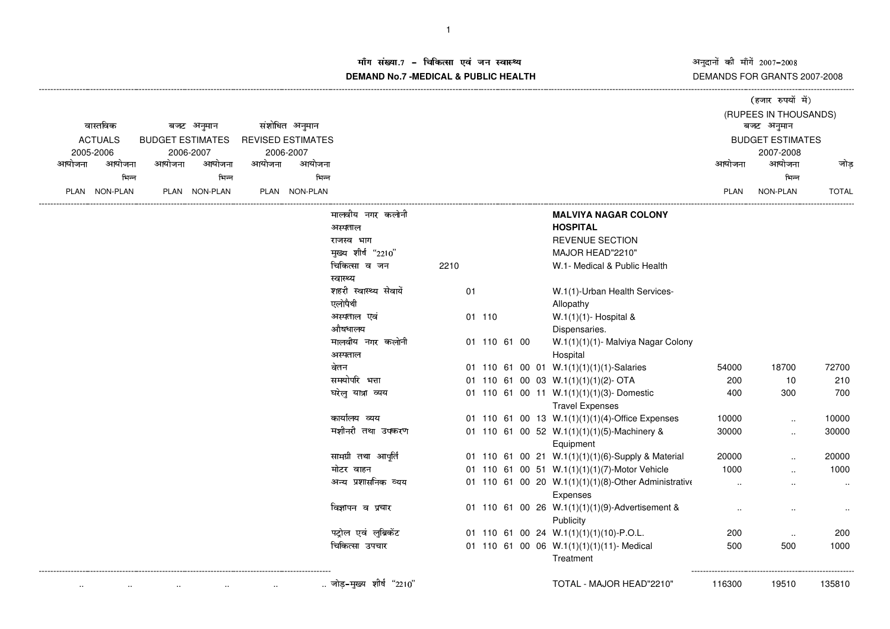अनुदानों की माँगें 2007–2008<br>DEMANDS FOR GRANTS 2007-2008

(हजार रुपयों में)

## म संख्या.7 – चिकित्सा एवं जन स्वास्थ्य<br>IAND N- 7 MEDIOAL 8 DUDLIO UEALTIL **DEMAND No.7 -MEDICAL & PUBLIC HEALTH**

----------------------------------------------------------------------------------------------------------------------------------------------------------------------------------------------------------------------------------------------------------------------------------------------

| वास्तविक<br><b>ACTUALS</b><br>2005-2006 |          | बजट अनुमान<br><b>BUDGET ESTIMATES</b><br>2006-2007 |               | संशोधित अनुमान<br><b>REVISED ESTIMATES</b><br>2006-2007 |               |                            |      |              |  |                        |                                                      | बजट अनुमान              | (RUPEES IN THOUSANDS) |              |
|-----------------------------------------|----------|----------------------------------------------------|---------------|---------------------------------------------------------|---------------|----------------------------|------|--------------|--|------------------------|------------------------------------------------------|-------------------------|-----------------------|--------------|
|                                         |          |                                                    |               |                                                         |               |                            |      |              |  |                        |                                                      | <b>BUDGET ESTIMATES</b> |                       |              |
| आयोजना                                  | आयोजना   | आयोजना                                             | आयोजना        | आयोजना                                                  | आयोजना        |                            |      |              |  |                        |                                                      | आयोजना                  | 2007-2008<br>आयोजना   | जोड          |
|                                         | भिन्न    |                                                    | भिन्न         |                                                         | भिन्न         |                            |      |              |  |                        |                                                      |                         | भिन्न                 |              |
| <b>PLAN</b>                             | NON-PLAN |                                                    | PLAN NON-PLAN |                                                         | PLAN NON-PLAN |                            |      |              |  |                        |                                                      | PLAN                    | NON-PLAN              | <b>TOTAL</b> |
|                                         |          |                                                    |               |                                                         |               | मालवीय नगर कलोनी           |      |              |  |                        | <b>MALVIYA NAGAR COLONY</b>                          |                         |                       |              |
|                                         |          |                                                    |               |                                                         |               | अस्पताल                    |      |              |  | <b>HOSPITAL</b>        |                                                      |                         |                       |              |
|                                         |          |                                                    |               |                                                         |               | राजस्व भाग                 |      |              |  |                        | <b>REVENUE SECTION</b>                               |                         |                       |              |
|                                         |          |                                                    |               |                                                         |               | मुख्य शीर्ष "2210"         |      |              |  |                        | MAJOR HEAD"2210"                                     |                         |                       |              |
|                                         |          |                                                    |               |                                                         |               | चिकित्सा व जन<br>स्वास्थ्य | 2210 |              |  |                        | W.1- Medical & Public Health                         |                         |                       |              |
|                                         |          |                                                    |               |                                                         |               | शहरी स्वास्थ्य सेवायें     | 01   |              |  |                        | W.1(1)-Urban Health Services-                        |                         |                       |              |
|                                         |          |                                                    |               |                                                         |               | एलोपैथी                    |      |              |  | Allopathy              |                                                      |                         |                       |              |
|                                         |          |                                                    |               |                                                         |               | अस्पताल एवं                |      | 01 110       |  |                        | W.1(1)(1)- Hospital &                                |                         |                       |              |
|                                         |          |                                                    |               |                                                         |               | औषधालय                     |      |              |  | Dispensaries.          |                                                      |                         |                       |              |
|                                         |          |                                                    |               |                                                         |               | मालवीय नगर कलोनी           |      | 01 110 61 00 |  |                        | W.1(1)(1)(1)- Malviya Nagar Colony                   |                         |                       |              |
|                                         |          |                                                    |               |                                                         |               | अस्पताल                    |      |              |  | Hospital               |                                                      |                         |                       |              |
|                                         |          |                                                    |               |                                                         |               | वेतन                       |      |              |  |                        | 01 110 61 00 01 W.1(1)(1)(1)(1)-Salaries             | 54000                   | 18700                 | 72700        |
|                                         |          |                                                    |               |                                                         |               | समयोपरि भत्ता              |      |              |  |                        | 01 110 61 00 03 W.1(1)(1)(1)(2)- OTA                 | 200                     | 10                    | 210          |
|                                         |          |                                                    |               |                                                         |               | घरेलु यात्रा व्यय          |      |              |  | <b>Travel Expenses</b> | 01 110 61 00 11 W.1(1)(1)(1)(3)-Domestic             | 400                     | 300                   | 700          |
|                                         |          |                                                    |               |                                                         |               | कार्यालय व्यय              |      |              |  |                        | 01 110 61 00 13 W.1(1)(1)(1)(4)-Office Expenses      | 10000                   | $\ddot{\phantom{a}}$  | 10000        |
|                                         |          |                                                    |               |                                                         |               | मशीनरी तथा उपकरण           |      |              |  | Equipment              | 01 110 61 00 52 W.1(1)(1)(1)(5)-Machinery &          | 30000                   |                       | 30000        |
|                                         |          |                                                    |               |                                                         |               | सामग्री तथा आपूर्ति        |      |              |  |                        | 01 110 61 00 21 W.1(1)(1)(1)(6)-Supply & Material    | 20000                   |                       | 20000        |
|                                         |          |                                                    |               |                                                         |               | मोटर वाहन                  |      |              |  |                        | 01 110 61 00 51 W.1(1)(1)(1)(7)-Motor Vehicle        | 1000                    |                       | 1000         |
|                                         |          |                                                    |               |                                                         |               | अन्य प्रशासनिक व्यय        |      |              |  |                        | 01 110 61 00 20 W.1(1)(1)(1)(8)-Other Administrative |                         |                       |              |
|                                         |          |                                                    |               |                                                         |               |                            |      |              |  | Expenses               |                                                      |                         |                       | $\sim$       |
|                                         |          |                                                    |               |                                                         |               | विज्ञापन व प्रचार          |      |              |  | Publicity              | 01 110 61 00 26 W.1(1)(1)(1)(9)-Advertisement &      |                         |                       |              |
|                                         |          |                                                    |               |                                                         |               | पट्रोल एवं लुब्रिकेंट      |      |              |  |                        | 01 110 61 00 24 W.1(1)(1)(1)(10)-P.O.L.              | 200                     | $\sim$                | 200          |
|                                         |          |                                                    |               |                                                         |               | चिकित्सा उपचार             |      |              |  |                        | 01 110 61 00 06 W.1(1)(1)(1)(11)-Medical             | 500                     | 500                   | 1000         |
|                                         |          |                                                    |               |                                                         |               |                            |      |              |  | Treatment              |                                                      |                         |                       |              |
|                                         |          |                                                    |               |                                                         |               | जोड़-मुख्य शीर्ष "2210"    |      |              |  |                        | TOTAL - MAJOR HEAD"2210"                             | 116300                  | 19510                 | 135810       |
|                                         |          |                                                    |               |                                                         |               |                            |      |              |  |                        |                                                      |                         |                       |              |